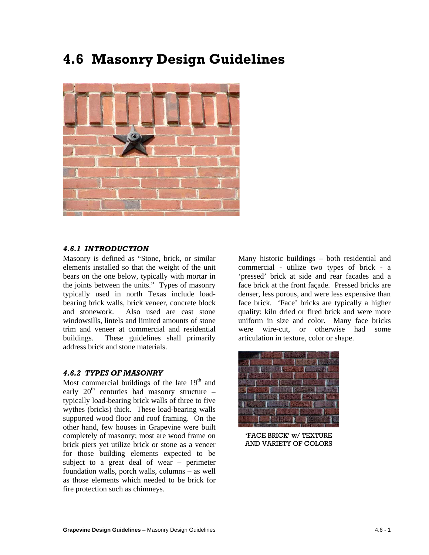# **4.6 Masonry Design Guidelines**



## *4.6.1 INTRODUCTION*

Masonry is defined as "Stone, brick, or similar elements installed so that the weight of the unit bears on the one below, typically with mortar in the joints between the units." Types of masonry typically used in north Texas include loadbearing brick walls, brick veneer, concrete block and stonework. Also used are cast stone windowsills, lintels and limited amounts of stone trim and veneer at commercial and residential buildings. These guidelines shall primarily address brick and stone materials.

## *4.6.2 TYPES OF MASONRY*

Most commercial buildings of the late  $19<sup>th</sup>$  and early  $20<sup>th</sup>$  centuries had masonry structure – typically load-bearing brick walls of three to five wythes (bricks) thick. These load-bearing walls supported wood floor and roof framing. On the other hand, few houses in Grapevine were built completely of masonry; most are wood frame on brick piers yet utilize brick or stone as a veneer for those building elements expected to be subject to a great deal of wear – perimeter foundation walls, porch walls, columns – as well as those elements which needed to be brick for fire protection such as chimneys.

Many historic buildings – both residential and commercial - utilize two types of brick - a 'pressed' brick at side and rear facades and a face brick at the front façade. Pressed bricks are denser, less porous, and were less expensive than face brick. 'Face' bricks are typically a higher quality; kiln dried or fired brick and were more uniform in size and color. Many face bricks were wire-cut, or otherwise had some articulation in texture, color or shape.



'FACE BRICK' w/ TEXTURE AND VARIETY OF COLORS